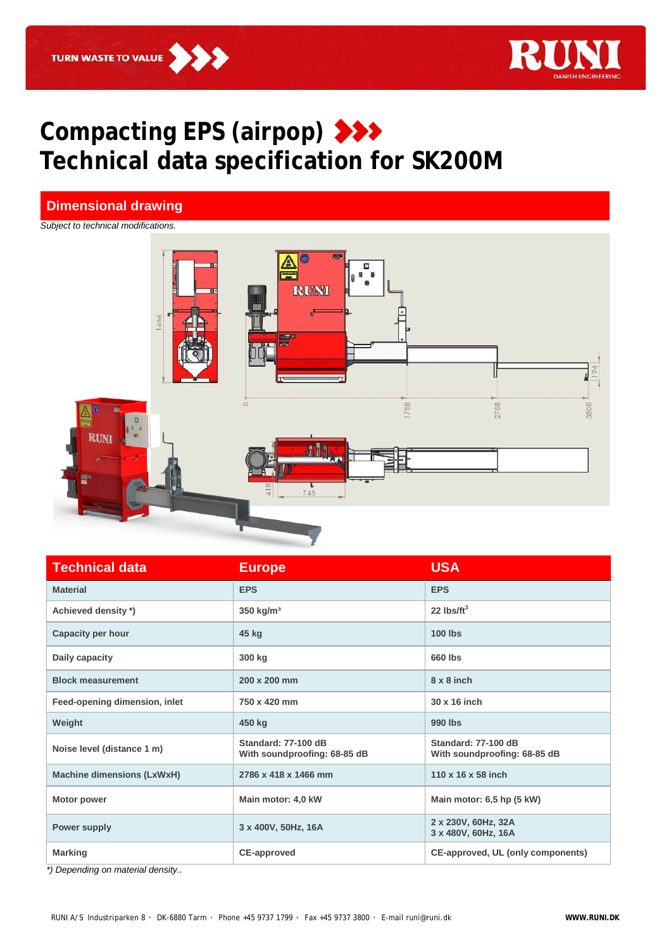

## **Compacting EPS (airpop) Technical data specification for SK200M**

## **Dimensional drawing**

*Subject to technical modifications.*



| <b>Technical data</b>             | <b>Europe</b>                                       | <b>USA</b>                                          |
|-----------------------------------|-----------------------------------------------------|-----------------------------------------------------|
| <b>Material</b>                   | <b>EPS</b>                                          | <b>EPS</b>                                          |
| Achieved density *)               | $350$ kg/m <sup>3</sup>                             | 22 $\text{ls/ft}^3$                                 |
| Capacity per hour                 | 45 kg                                               | <b>100 lbs</b>                                      |
| Daily capacity                    | 300 kg                                              | 660 lbs                                             |
| <b>Block measurement</b>          | 200 x 200 mm                                        | $8 \times 8$ inch                                   |
| Feed-opening dimension, inlet     | 750 x 420 mm                                        | 30 x 16 inch                                        |
| Weight                            | 450 kg                                              | 990 lbs                                             |
| Noise level (distance 1 m)        | Standard: 77-100 dB<br>With soundproofing: 68-85 dB | Standard: 77-100 dB<br>With soundproofing: 68-85 dB |
| <b>Machine dimensions (LxWxH)</b> | 2786 x 418 x 1466 mm                                | 110 x 16 x 58 inch                                  |
| <b>Motor power</b>                | Main motor: 4,0 kW                                  | Main motor: 6,5 hp (5 kW)                           |
| Power supply                      | 3 x 400V, 50Hz, 16A                                 | 2 x 230V, 60Hz, 32A<br>3 x 480V, 60Hz, 16A          |
| <b>Marking</b>                    | <b>CE-approved</b>                                  | CE-approved, UL (only components)                   |

*\*) Depending on material density..*